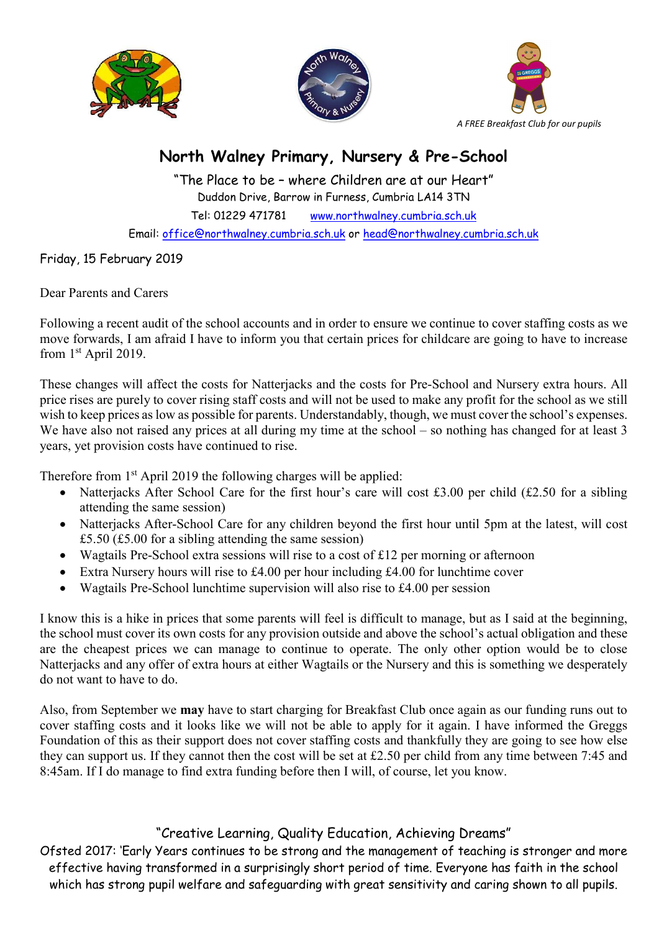





## North Walney Primary, Nursery & Pre-School

"The Place to be – where Children are at our Heart" Duddon Drive, Barrow in Furness, Cumbria LA14 3TN Tel: 01229 471781 www.northwalney.cumbria.sch.uk Email: office@northwalney.cumbria.sch.uk or head@northwalney.cumbria.sch.uk

Friday, 15 February 2019

Dear Parents and Carers

Following a recent audit of the school accounts and in order to ensure we continue to cover staffing costs as we move forwards, I am afraid I have to inform you that certain prices for childcare are going to have to increase from 1st April 2019.

These changes will affect the costs for Natterjacks and the costs for Pre-School and Nursery extra hours. All price rises are purely to cover rising staff costs and will not be used to make any profit for the school as we still wish to keep prices as low as possible for parents. Understandably, though, we must cover the school's expenses. We have also not raised any prices at all during my time at the school – so nothing has changed for at least 3 years, yet provision costs have continued to rise.

Therefore from 1<sup>st</sup> April 2019 the following charges will be applied:

- Natterjacks After School Care for the first hour's care will cost £3.00 per child (£2.50 for a sibling attending the same session)
- Natterjacks After-School Care for any children beyond the first hour until 5pm at the latest, will cost £5.50 (£5.00 for a sibling attending the same session)
- Wagtails Pre-School extra sessions will rise to a cost of £12 per morning or afternoon
- Extra Nursery hours will rise to £4.00 per hour including £4.00 for lunchtime cover
- Wagtails Pre-School lunchtime supervision will also rise to £4.00 per session

I know this is a hike in prices that some parents will feel is difficult to manage, but as I said at the beginning, the school must cover its own costs for any provision outside and above the school's actual obligation and these are the cheapest prices we can manage to continue to operate. The only other option would be to close Natterjacks and any offer of extra hours at either Wagtails or the Nursery and this is something we desperately do not want to have to do.

Also, from September we may have to start charging for Breakfast Club once again as our funding runs out to cover staffing costs and it looks like we will not be able to apply for it again. I have informed the Greggs Foundation of this as their support does not cover staffing costs and thankfully they are going to see how else they can support us. If they cannot then the cost will be set at £2.50 per child from any time between 7:45 and 8:45am. If I do manage to find extra funding before then I will, of course, let you know.

## "Creative Learning, Quality Education, Achieving Dreams"

Ofsted 2017: 'Early Years continues to be strong and the management of teaching is stronger and more effective having transformed in a surprisingly short period of time. Everyone has faith in the school which has strong pupil welfare and safeguarding with great sensitivity and caring shown to all pupils.